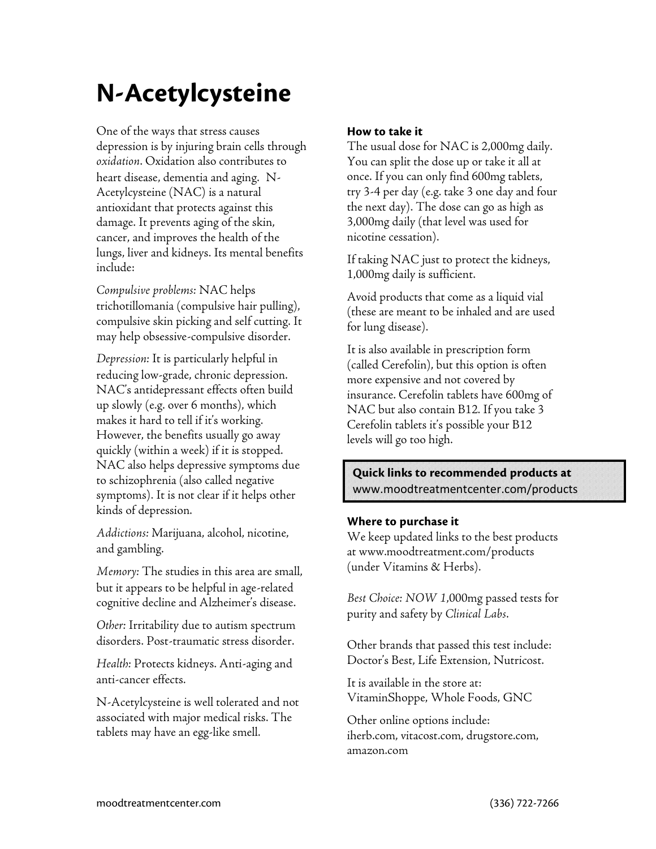# N-Acetylcysteine

One of the ways that stress causes depression is by injuring brain cells through oxidation. Oxidation also contributes to heart disease, dementia and aging. N-Acetylcysteine (NAC) is a natural antioxidant that protects against this damage. It prevents aging of the skin, cancer, and improves the health of the lungs, liver and kidneys. Its mental benefits include:

Compulsive problems: NAC helps trichotillomania (compulsive hair pulling), compulsive skin picking and self cutting. It may help obsessive-compulsive disorder.

Depression: It is particularly helpful in reducing low-grade, chronic depression. NAC's antidepressant effects often build up slowly (e.g. over 6 months), which makes it hard to tell if it's working. However, the benefits usually go away quickly (within a week) if it is stopped. NAC also helps depressive symptoms due to schizophrenia (also called negative symptoms). It is not clear if it helps other kinds of depression.

Addictions: Marijuana, alcohol, nicotine, and gambling.

Memory: The studies in this area are small, but it appears to be helpful in age-related cognitive decline and Alzheimer's disease.

Other: Irritability due to autism spectrum disorders. Post-traumatic stress disorder.

Health: Protects kidneys. Anti-aging and anti-cancer effects.

N-Acetylcysteine is well tolerated and not associated with major medical risks. The tablets may have an egg-like smell.

## How to take it

The usual dose for NAC is 2,000mg daily. You can split the dose up or take it all at once. If you can only find 600mg tablets, try 3-4 per day (e.g. take 3 one day and four the next day). The dose can go as high as 3,000mg daily (that level was used for nicotine cessation).

If taking NAC just to protect the kidneys, 1,000mg daily is sufficient.

Avoid products that come as a liquid vial (these are meant to be inhaled and are used for lung disease).

It is also available in prescription form (called Cerefolin), but this option is often more expensive and not covered by insurance. Cerefolin tablets have 600mg of NAC but also contain B12. If you take 3 Cerefolin tablets it's possible your B12 levels will go too high.

## Quick links to recommended products at www.moodtreatmentcenter.com/products

### Where to purchase it

We keep updated links to the best products at www.moodtreatment.com/products (under Vitamins & Herbs).

Best Choice: NOW 1,000mg passed tests for purity and safety by Clinical Labs.

Other brands that passed this test include: Doctor's Best, Life Extension, Nutricost.

It is available in the store at: VitaminShoppe, Whole Foods, GNC

Other online options include: iherb.com, vitacost.com, drugstore.com, amazon.com